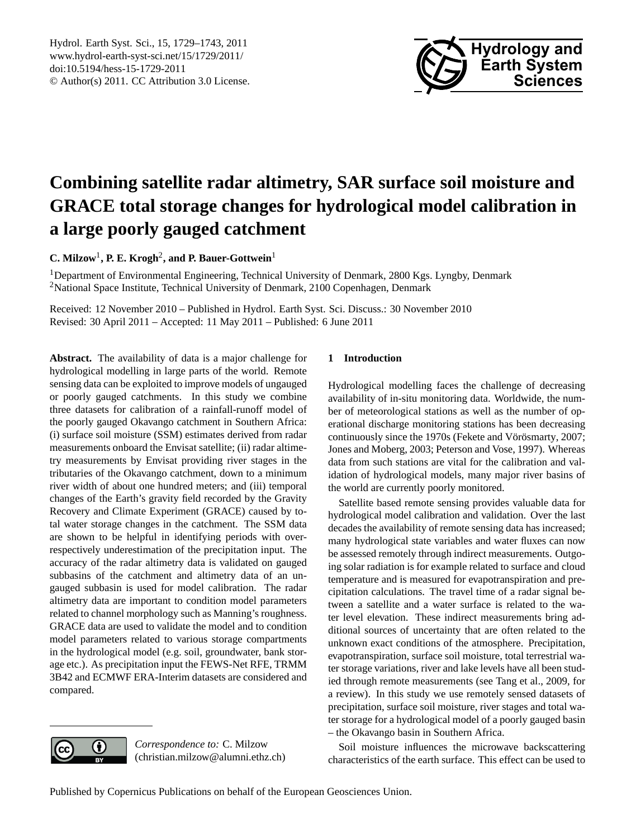<span id="page-0-0"></span>Hydrol. Earth Syst. Sci., 15, 1729–1743, 2011 www.hydrol-earth-syst-sci.net/15/1729/2011/ doi:10.5194/hess-15-1729-2011 © Author(s) 2011. CC Attribution 3.0 License.



# **Combining satellite radar altimetry, SAR surface soil moisture and GRACE total storage changes for hydrological model calibration in a large poorly gauged catchment**

**C. Milzow**<sup>1</sup> **, P. E. Krogh**<sup>2</sup> **, and P. Bauer-Gottwein**<sup>1</sup>

<sup>1</sup>Department of Environmental Engineering, Technical University of Denmark, 2800 Kgs. Lyngby, Denmark <sup>2</sup>National Space Institute, Technical University of Denmark, 2100 Copenhagen, Denmark

Received: 12 November 2010 – Published in Hydrol. Earth Syst. Sci. Discuss.: 30 November 2010 Revised: 30 April 2011 – Accepted: 11 May 2011 – Published: 6 June 2011

**Abstract.** The availability of data is a major challenge for hydrological modelling in large parts of the world. Remote sensing data can be exploited to improve models of ungauged or poorly gauged catchments. In this study we combine three datasets for calibration of a rainfall-runoff model of the poorly gauged Okavango catchment in Southern Africa: (i) surface soil moisture (SSM) estimates derived from radar measurements onboard the Envisat satellite; (ii) radar altimetry measurements by Envisat providing river stages in the tributaries of the Okavango catchment, down to a minimum river width of about one hundred meters; and (iii) temporal changes of the Earth's gravity field recorded by the Gravity Recovery and Climate Experiment (GRACE) caused by total water storage changes in the catchment. The SSM data are shown to be helpful in identifying periods with overrespectively underestimation of the precipitation input. The accuracy of the radar altimetry data is validated on gauged subbasins of the catchment and altimetry data of an ungauged subbasin is used for model calibration. The radar altimetry data are important to condition model parameters related to channel morphology such as Manning's roughness. GRACE data are used to validate the model and to condition model parameters related to various storage compartments in the hydrological model (e.g. soil, groundwater, bank storage etc.). As precipitation input the FEWS-Net RFE, TRMM 3B42 and ECMWF ERA-Interim datasets are considered and compared.

# **1 Introduction**

Hydrological modelling faces the challenge of decreasing availability of in-situ monitoring data. Worldwide, the number of meteorological stations as well as the number of operational discharge monitoring stations has been decreasing continuously since the 1970s (Fekete and Vörösmarty, [2007;](#page-13-0) [Jones and Moberg,](#page-13-1) [2003;](#page-13-1) [Peterson and Vose,](#page-14-0) [1997\)](#page-14-0). Whereas data from such stations are vital for the calibration and validation of hydrological models, many major river basins of the world are currently poorly monitored.

Satellite based remote sensing provides valuable data for hydrological model calibration and validation. Over the last decades the availability of remote sensing data has increased; many hydrological state variables and water fluxes can now be assessed remotely through indirect measurements. Outgoing solar radiation is for example related to surface and cloud temperature and is measured for evapotranspiration and precipitation calculations. The travel time of a radar signal between a satellite and a water surface is related to the water level elevation. These indirect measurements bring additional sources of uncertainty that are often related to the unknown exact conditions of the atmosphere. Precipitation, evapotranspiration, surface soil moisture, total terrestrial water storage variations, river and lake levels have all been studied through remote measurements (see [Tang et al.,](#page-14-1) [2009,](#page-14-1) for a review). In this study we use remotely sensed datasets of precipitation, surface soil moisture, river stages and total water storage for a hydrological model of a poorly gauged basin – the Okavango basin in Southern Africa.

Soil moisture influences the microwave backscattering characteristics of the earth surface. This effect can be used to

*Correspondence to:* C. Milzow (christian.milzow@alumni.ethz.ch)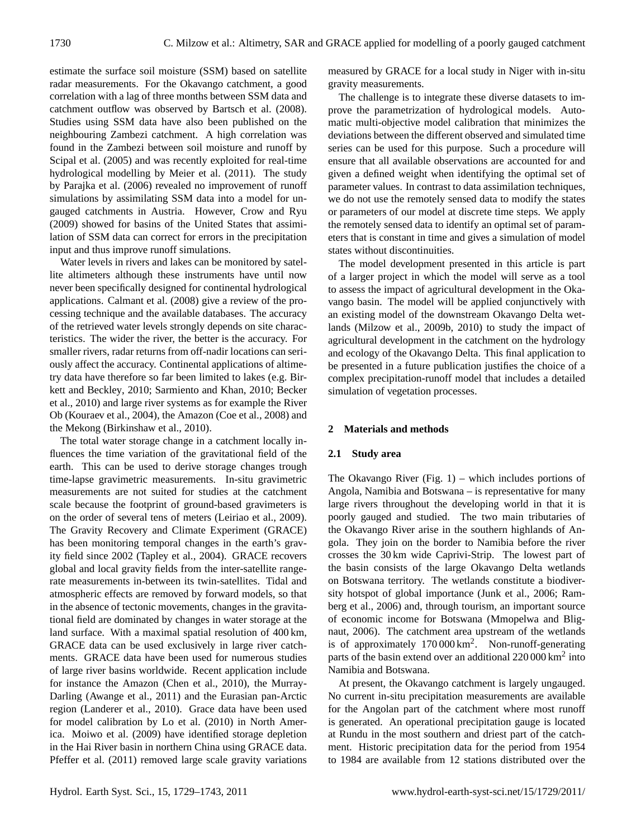estimate the surface soil moisture (SSM) based on satellite radar measurements. For the Okavango catchment, a good correlation with a lag of three months between SSM data and catchment outflow was observed by [Bartsch et al.](#page-12-0) [\(2008\)](#page-12-0). Studies using SSM data have also been published on the neighbouring Zambezi catchment. A high correlation was found in the Zambezi between soil moisture and runoff by [Scipal et al.](#page-14-2) [\(2005\)](#page-14-2) and was recently exploited for real-time hydrological modelling by [Meier et al.](#page-13-2) [\(2011\)](#page-13-2). The study by [Parajka et al.](#page-14-3) [\(2006\)](#page-14-3) revealed no improvement of runoff simulations by assimilating SSM data into a model for ungauged catchments in Austria. However, [Crow and Ryu](#page-13-3) [\(2009\)](#page-13-3) showed for basins of the United States that assimilation of SSM data can correct for errors in the precipitation input and thus improve runoff simulations.

Water levels in rivers and lakes can be monitored by satellite altimeters although these instruments have until now never been specifically designed for continental hydrological applications. [Calmant et al.](#page-12-1) [\(2008\)](#page-12-1) give a review of the processing technique and the available databases. The accuracy of the retrieved water levels strongly depends on site characteristics. The wider the river, the better is the accuracy. For smaller rivers, radar returns from off-nadir locations can seriously affect the accuracy. Continental applications of altimetry data have therefore so far been limited to lakes (e.g. [Bir](#page-12-2)[kett and Beckley,](#page-12-2) [2010;](#page-12-2) [Sarmiento and Khan,](#page-14-4) [2010;](#page-14-4) [Becker](#page-12-3) [et al.,](#page-12-3) [2010\)](#page-12-3) and large river systems as for example the River Ob [\(Kouraev et al.,](#page-13-4) [2004\)](#page-13-4), the Amazon [\(Coe et al.,](#page-12-4) [2008\)](#page-12-4) and the Mekong [\(Birkinshaw et al.,](#page-12-5) [2010\)](#page-12-5).

The total water storage change in a catchment locally influences the time variation of the gravitational field of the earth. This can be used to derive storage changes trough time-lapse gravimetric measurements. In-situ gravimetric measurements are not suited for studies at the catchment scale because the footprint of ground-based gravimeters is on the order of several tens of meters [\(Leiriao et al.,](#page-13-5) [2009\)](#page-13-5). The Gravity Recovery and Climate Experiment (GRACE) has been monitoring temporal changes in the earth's gravity field since 2002 [\(Tapley et al.,](#page-14-5) [2004\)](#page-14-5). GRACE recovers global and local gravity fields from the inter-satellite rangerate measurements in-between its twin-satellites. Tidal and atmospheric effects are removed by forward models, so that in the absence of tectonic movements, changes in the gravitational field are dominated by changes in water storage at the land surface. With a maximal spatial resolution of 400 km, GRACE data can be used exclusively in large river catchments. GRACE data have been used for numerous studies of large river basins worldwide. Recent application include for instance the Amazon [\(Chen et al.,](#page-12-6) [2010\)](#page-12-6), the Murray-Darling [\(Awange et al.,](#page-12-7) [2011\)](#page-12-7) and the Eurasian pan-Arctic region [\(Landerer et al.,](#page-13-6) [2010\)](#page-13-6). Grace data have been used for model calibration by [Lo et al.](#page-13-7) [\(2010\)](#page-13-7) in North America. [Moiwo et al.](#page-13-8) [\(2009\)](#page-13-8) have identified storage depletion in the Hai River basin in northern China using GRACE data. [Pfeffer et al.](#page-14-6) [\(2011\)](#page-14-6) removed large scale gravity variations measured by GRACE for a local study in Niger with in-situ gravity measurements.

The challenge is to integrate these diverse datasets to improve the parametrization of hydrological models. Automatic multi-objective model calibration that minimizes the deviations between the different observed and simulated time series can be used for this purpose. Such a procedure will ensure that all available observations are accounted for and given a defined weight when identifying the optimal set of parameter values. In contrast to data assimilation techniques, we do not use the remotely sensed data to modify the states or parameters of our model at discrete time steps. We apply the remotely sensed data to identify an optimal set of parameters that is constant in time and gives a simulation of model states without discontinuities.

The model development presented in this article is part of a larger project in which the model will serve as a tool to assess the impact of agricultural development in the Okavango basin. The model will be applied conjunctively with an existing model of the downstream Okavango Delta wetlands [\(Milzow et al.,](#page-13-9) [2009b,](#page-13-9) [2010\)](#page-13-10) to study the impact of agricultural development in the catchment on the hydrology and ecology of the Okavango Delta. This final application to be presented in a future publication justifies the choice of a complex precipitation-runoff model that includes a detailed simulation of vegetation processes.

## **2 Materials and methods**

## **2.1 Study area**

The Okavango River (Fig.  $1$ ) – which includes portions of Angola, Namibia and Botswana – is representative for many large rivers throughout the developing world in that it is poorly gauged and studied. The two main tributaries of the Okavango River arise in the southern highlands of Angola. They join on the border to Namibia before the river crosses the 30 km wide Caprivi-Strip. The lowest part of the basin consists of the large Okavango Delta wetlands on Botswana territory. The wetlands constitute a biodiversity hotspot of global importance [\(Junk et al.,](#page-13-11) [2006;](#page-13-11) [Ram](#page-14-7)[berg et al.,](#page-14-7) [2006\)](#page-14-7) and, through tourism, an important source of economic income for Botswana [\(Mmopelwa and Blig](#page-13-12)[naut,](#page-13-12) [2006\)](#page-13-12). The catchment area upstream of the wetlands is of approximately  $170000 \text{ km}^2$ . Non-runoff-generating parts of the basin extend over an additional 220 000 km<sup>2</sup> into Namibia and Botswana.

At present, the Okavango catchment is largely ungauged. No current in-situ precipitation measurements are available for the Angolan part of the catchment where most runoff is generated. An operational precipitation gauge is located at Rundu in the most southern and driest part of the catchment. Historic precipitation data for the period from 1954 to 1984 are available from 12 stations distributed over the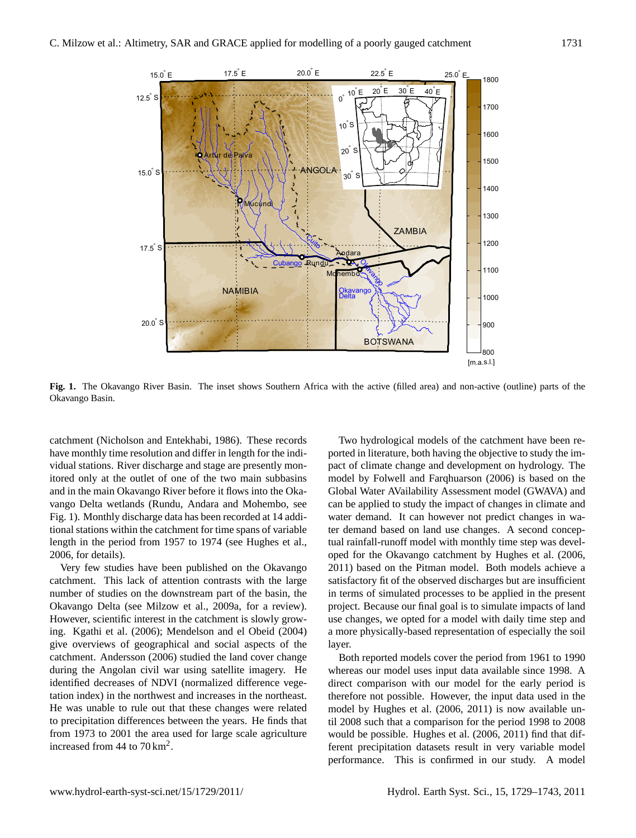

<span id="page-2-0"></span>**Fig. 1.** The Okavango River Basin. The inset shows Southern Africa with the active (filled area) and non-active (outline) parts of the Okavango Basin.

catchment [\(Nicholson and Entekhabi,](#page-13-13) [1986\)](#page-13-13). These records have monthly time resolution and differ in length for the individual stations. River discharge and stage are presently monitored only at the outlet of one of the two main subbasins and in the main Okavango River before it flows into the Okavango Delta wetlands (Rundu, Andara and Mohembo, see Fig. [1\)](#page-2-0). Monthly discharge data has been recorded at 14 additional stations within the catchment for time spans of variable length in the period from 1957 to 1974 (see [Hughes et al.,](#page-13-14) [2006,](#page-13-14) for details).

Very few studies have been published on the Okavango catchment. This lack of attention contrasts with the large number of studies on the downstream part of the basin, the Okavango Delta (see [Milzow et al.,](#page-13-15) [2009a,](#page-13-15) for a review). However, scientific interest in the catchment is slowly growing. [Kgathi et al.](#page-13-16) [\(2006\)](#page-13-16); [Mendelson and el Obeid](#page-13-17) [\(2004\)](#page-13-17) give overviews of geographical and social aspects of the catchment. [Andersson](#page-12-8) [\(2006\)](#page-12-8) studied the land cover change during the Angolan civil war using satellite imagery. He identified decreases of NDVI (normalized difference vegetation index) in the northwest and increases in the northeast. He was unable to rule out that these changes were related to precipitation differences between the years. He finds that from 1973 to 2001 the area used for large scale agriculture increased from 44 to 70 km<sup>2</sup>.

Two hydrological models of the catchment have been reported in literature, both having the objective to study the impact of climate change and development on hydrology. The model by [Folwell and Farqhuarson](#page-13-18) [\(2006\)](#page-13-18) is based on the Global Water AVailability Assessment model (GWAVA) and can be applied to study the impact of changes in climate and water demand. It can however not predict changes in water demand based on land use changes. A second conceptual rainfall-runoff model with monthly time step was developed for the Okavango catchment by [Hughes et al.](#page-13-14) [\(2006,](#page-13-14) [2011\)](#page-13-19) based on the Pitman model. Both models achieve a satisfactory fit of the observed discharges but are insufficient in terms of simulated processes to be applied in the present project. Because our final goal is to simulate impacts of land use changes, we opted for a model with daily time step and a more physically-based representation of especially the soil layer.

Both reported models cover the period from 1961 to 1990 whereas our model uses input data available since 1998. A direct comparison with our model for the early period is therefore not possible. However, the input data used in the model by [Hughes et al.](#page-13-14) [\(2006,](#page-13-14) [2011\)](#page-13-19) is now available until 2008 such that a comparison for the period 1998 to 2008 would be possible. [Hughes et al.](#page-13-14) [\(2006,](#page-13-14) [2011\)](#page-13-19) find that different precipitation datasets result in very variable model performance. This is confirmed in our study. A model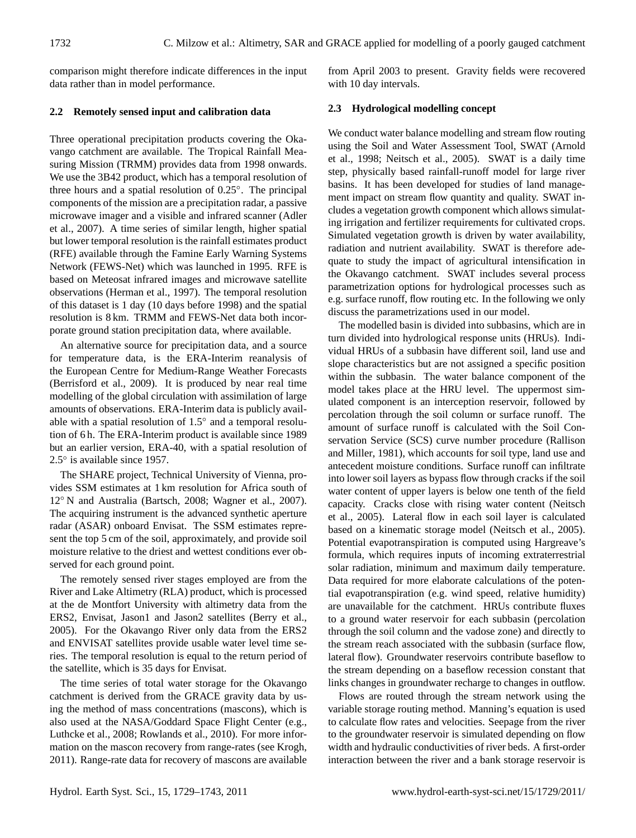comparison might therefore indicate differences in the input data rather than in model performance.

## **2.2 Remotely sensed input and calibration data**

Three operational precipitation products covering the Okavango catchment are available. The Tropical Rainfall Measuring Mission (TRMM) provides data from 1998 onwards. We use the 3B42 product, which has a temporal resolution of three hours and a spatial resolution of 0.25◦ . The principal components of the mission are a precipitation radar, a passive microwave imager and a visible and infrared scanner [\(Adler](#page-12-9) [et al.,](#page-12-9) [2007\)](#page-12-9). A time series of similar length, higher spatial but lower temporal resolution is the rainfall estimates product (RFE) available through the Famine Early Warning Systems Network (FEWS-Net) which was launched in 1995. RFE is based on Meteosat infrared images and microwave satellite observations [\(Herman et al.,](#page-13-20) [1997\)](#page-13-20). The temporal resolution of this dataset is 1 day (10 days before 1998) and the spatial resolution is 8 km. TRMM and FEWS-Net data both incorporate ground station precipitation data, where available.

An alternative source for precipitation data, and a source for temperature data, is the ERA-Interim reanalysis of the European Centre for Medium-Range Weather Forecasts [\(Berrisford et al.,](#page-12-10) [2009\)](#page-12-10). It is produced by near real time modelling of the global circulation with assimilation of large amounts of observations. ERA-Interim data is publicly available with a spatial resolution of 1.5◦ and a temporal resolution of 6 h. The ERA-Interim product is available since 1989 but an earlier version, ERA-40, with a spatial resolution of 2.5° is available since 1957.

The SHARE project, Technical University of Vienna, provides SSM estimates at 1 km resolution for Africa south of 12◦ N and Australia [\(Bartsch,](#page-12-11) [2008;](#page-12-11) [Wagner et al.,](#page-14-8) [2007\)](#page-14-8). The acquiring instrument is the advanced synthetic aperture radar (ASAR) onboard Envisat. The SSM estimates represent the top 5 cm of the soil, approximately, and provide soil moisture relative to the driest and wettest conditions ever observed for each ground point.

The remotely sensed river stages employed are from the River and Lake Altimetry (RLA) product, which is processed at the de Montfort University with altimetry data from the ERS2, Envisat, Jason1 and Jason2 satellites [\(Berry et al.,](#page-12-12) [2005\)](#page-12-12). For the Okavango River only data from the ERS2 and ENVISAT satellites provide usable water level time series. The temporal resolution is equal to the return period of the satellite, which is 35 days for Envisat.

The time series of total water storage for the Okavango catchment is derived from the GRACE gravity data by using the method of mass concentrations (mascons), which is also used at the NASA/Goddard Space Flight Center (e.g., [Luthcke et al.,](#page-13-21) [2008;](#page-13-21) [Rowlands et al.,](#page-14-9) [2010\)](#page-14-9). For more information on the mascon recovery from range-rates (see [Krogh,](#page-13-22) [2011\)](#page-13-22). Range-rate data for recovery of mascons are available from April 2003 to present. Gravity fields were recovered with 10 day intervals.

## **2.3 Hydrological modelling concept**

We conduct water balance modelling and stream flow routing using the Soil and Water Assessment Tool, SWAT [\(Arnold](#page-12-13) [et al.,](#page-12-13) [1998;](#page-12-13) [Neitsch et al.,](#page-13-23) [2005\)](#page-13-23). SWAT is a daily time step, physically based rainfall-runoff model for large river basins. It has been developed for studies of land management impact on stream flow quantity and quality. SWAT includes a vegetation growth component which allows simulating irrigation and fertilizer requirements for cultivated crops. Simulated vegetation growth is driven by water availability, radiation and nutrient availability. SWAT is therefore adequate to study the impact of agricultural intensification in the Okavango catchment. SWAT includes several process parametrization options for hydrological processes such as e.g. surface runoff, flow routing etc. In the following we only discuss the parametrizations used in our model.

The modelled basin is divided into subbasins, which are in turn divided into hydrological response units (HRUs). Individual HRUs of a subbasin have different soil, land use and slope characteristics but are not assigned a specific position within the subbasin. The water balance component of the model takes place at the HRU level. The uppermost simulated component is an interception reservoir, followed by percolation through the soil column or surface runoff. The amount of surface runoff is calculated with the Soil Conservation Service (SCS) curve number procedure [\(Rallison](#page-14-10) [and Miller,](#page-14-10) [1981\)](#page-14-10), which accounts for soil type, land use and antecedent moisture conditions. Surface runoff can infiltrate into lower soil layers as bypass flow through cracks if the soil water content of upper layers is below one tenth of the field capacity. Cracks close with rising water content [\(Neitsch](#page-13-23) [et al.,](#page-13-23) [2005\)](#page-13-23). Lateral flow in each soil layer is calculated based on a kinematic storage model [\(Neitsch et al.,](#page-13-23) [2005\)](#page-13-23). Potential evapotranspiration is computed using Hargreave's formula, which requires inputs of incoming extraterrestrial solar radiation, minimum and maximum daily temperature. Data required for more elaborate calculations of the potential evapotranspiration (e.g. wind speed, relative humidity) are unavailable for the catchment. HRUs contribute fluxes to a ground water reservoir for each subbasin (percolation through the soil column and the vadose zone) and directly to the stream reach associated with the subbasin (surface flow, lateral flow). Groundwater reservoirs contribute baseflow to the stream depending on a baseflow recession constant that links changes in groundwater recharge to changes in outflow.

Flows are routed through the stream network using the variable storage routing method. Manning's equation is used to calculate flow rates and velocities. Seepage from the river to the groundwater reservoir is simulated depending on flow width and hydraulic conductivities of river beds. A first-order interaction between the river and a bank storage reservoir is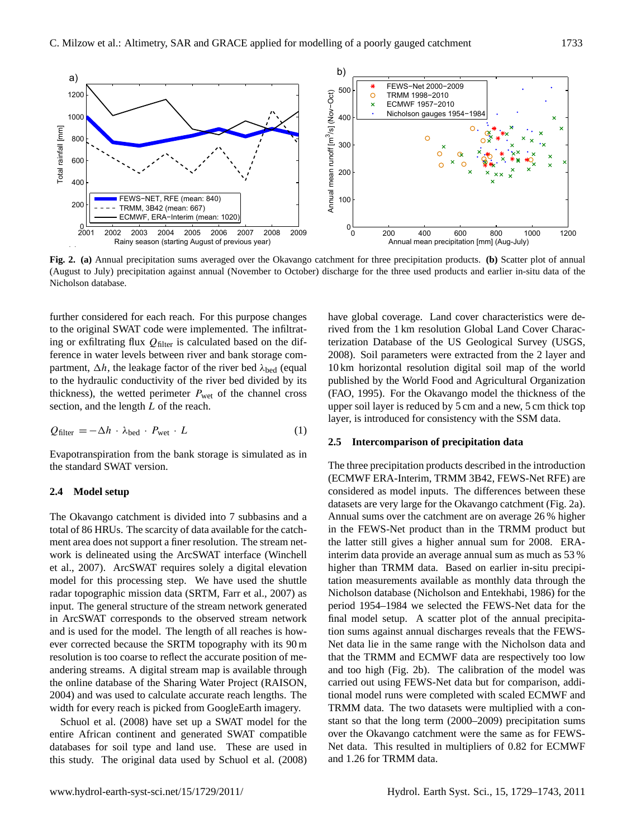

<span id="page-4-0"></span>**Fig. 2. (a)** Annual precipitation sums averaged over the Okavango catchment for three precipitation products. **(b)** Scatter plot of annual (August to July) precipitation against annual (November to October) discharge for the three used products and earlier in-situ data of the Nicholson database.

further considered for each reach. For this purpose changes to the original SWAT code were implemented. The infiltrating or exfiltrating flux  $Q_{\text{filter}}$  is calculated based on the difference in water levels between river and bank storage compartment,  $\Delta h$ , the leakage factor of the river bed  $\lambda_{\text{bed}}$  (equal to the hydraulic conductivity of the river bed divided by its thickness), the wetted perimeter  $P_{wet}$  of the channel cross section, and the length L of the reach.

$$
Q_{\text{filter}} = -\Delta h \cdot \lambda_{\text{bed}} \cdot P_{\text{wet}} \cdot L \tag{1}
$$

Evapotranspiration from the bank storage is simulated as in the standard SWAT version.

### **2.4 Model setup**

The Okavango catchment is divided into 7 subbasins and a total of 86 HRUs. The scarcity of data available for the catchment area does not support a finer resolution. The stream network is delineated using the ArcSWAT interface [\(Winchell](#page-14-11) [et al.,](#page-14-11) [2007\)](#page-14-11). ArcSWAT requires solely a digital elevation model for this processing step. We have used the shuttle radar topographic mission data (SRTM, [Farr et al.,](#page-13-24) [2007\)](#page-13-24) as input. The general structure of the stream network generated in ArcSWAT corresponds to the observed stream network and is used for the model. The length of all reaches is however corrected because the SRTM topography with its 90 m resolution is too coarse to reflect the accurate position of meandering streams. A digital stream map is available through the online database of the Sharing Water Project [\(RAISON,](#page-14-12) [2004\)](#page-14-12) and was used to calculate accurate reach lengths. The width for every reach is picked from GoogleEarth imagery.

[Schuol et al.](#page-14-13) [\(2008\)](#page-14-13) have set up a SWAT model for the entire African continent and generated SWAT compatible databases for soil type and land use. These are used in this study. The original data used by [Schuol et al.](#page-14-13) [\(2008\)](#page-14-13) have global coverage. Land cover characteristics were derived from the 1 km resolution Global Land Cover Characterization Database of the US Geological Survey [\(USGS,](#page-14-14) [2008\)](#page-14-14). Soil parameters were extracted from the 2 layer and 10 km horizontal resolution digital soil map of the world published by the World Food and Agricultural Organization [\(FAO,](#page-13-25) [1995\)](#page-13-25). For the Okavango model the thickness of the upper soil layer is reduced by 5 cm and a new, 5 cm thick top layer, is introduced for consistency with the SSM data.

## **2.5 Intercomparison of precipitation data**

The three precipitation products described in the introduction (ECMWF ERA-Interim, TRMM 3B42, FEWS-Net RFE) are considered as model inputs. The differences between these datasets are very large for the Okavango catchment (Fig. [2a](#page-4-0)). Annual sums over the catchment are on average 26 % higher in the FEWS-Net product than in the TRMM product but the latter still gives a higher annual sum for 2008. ERAinterim data provide an average annual sum as much as 53 % higher than TRMM data. Based on earlier in-situ precipitation measurements available as monthly data through the Nicholson database [\(Nicholson and Entekhabi,](#page-13-13) [1986\)](#page-13-13) for the period 1954–1984 we selected the FEWS-Net data for the final model setup. A scatter plot of the annual precipitation sums against annual discharges reveals that the FEWS-Net data lie in the same range with the Nicholson data and that the TRMM and ECMWF data are respectively too low and too high (Fig. [2b](#page-4-0)). The calibration of the model was carried out using FEWS-Net data but for comparison, additional model runs were completed with scaled ECMWF and TRMM data. The two datasets were multiplied with a constant so that the long term (2000–2009) precipitation sums over the Okavango catchment were the same as for FEWS-Net data. This resulted in multipliers of 0.82 for ECMWF and 1.26 for TRMM data.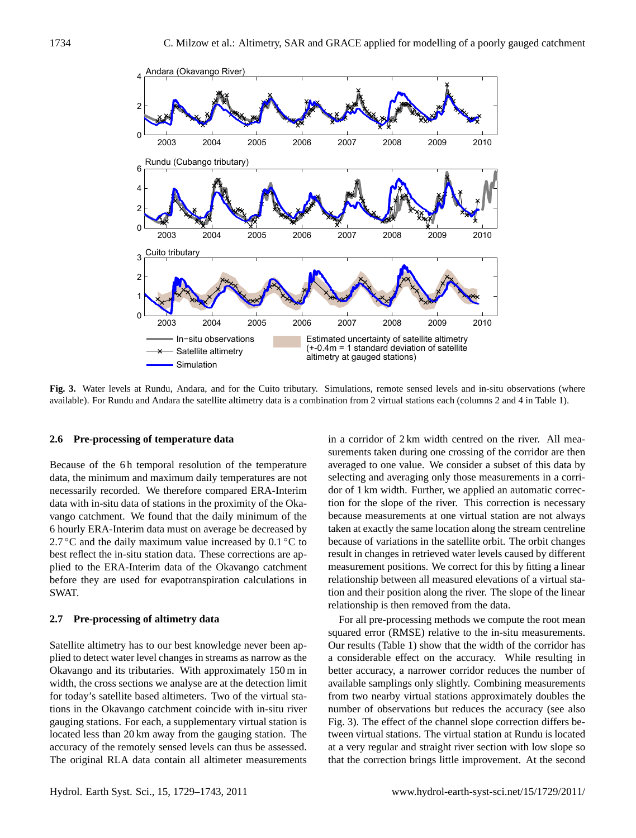

<span id="page-5-0"></span>**Fig. 3.** Water levels at Rundu, Andara, and for the Cuito tributary. Simulations, remote sensed levels and in-situ observations (where available). For Rundu and Andara the satellite altimetry data is a combination from 2 virtual stations each (columns 2 and 4 in Table [1\)](#page-6-0).

#### **2.6 Pre-processing of temperature data**

Because of the 6 h temporal resolution of the temperature data, the minimum and maximum daily temperatures are not necessarily recorded. We therefore compared ERA-Interim data with in-situ data of stations in the proximity of the Okavango catchment. We found that the daily minimum of the 6 hourly ERA-Interim data must on average be decreased by 2.7 °C and the daily maximum value increased by  $0.1$  °C to best reflect the in-situ station data. These corrections are applied to the ERA-Interim data of the Okavango catchment before they are used for evapotranspiration calculations in SWAT.

#### <span id="page-5-1"></span>**2.7 Pre-processing of altimetry data**

Satellite altimetry has to our best knowledge never been applied to detect water level changes in streams as narrow as the Okavango and its tributaries. With approximately 150 m in width, the cross sections we analyse are at the detection limit for today's satellite based altimeters. Two of the virtual stations in the Okavango catchment coincide with in-situ river gauging stations. For each, a supplementary virtual station is located less than 20 km away from the gauging station. The accuracy of the remotely sensed levels can thus be assessed. The original RLA data contain all altimeter measurements in a corridor of 2 km width centred on the river. All measurements taken during one crossing of the corridor are then averaged to one value. We consider a subset of this data by selecting and averaging only those measurements in a corridor of 1 km width. Further, we applied an automatic correction for the slope of the river. This correction is necessary because measurements at one virtual station are not always taken at exactly the same location along the stream centreline because of variations in the satellite orbit. The orbit changes result in changes in retrieved water levels caused by different measurement positions. We correct for this by fitting a linear relationship between all measured elevations of a virtual station and their position along the river. The slope of the linear relationship is then removed from the data.

For all pre-processing methods we compute the root mean squared error (RMSE) relative to the in-situ measurements. Our results (Table [1\)](#page-6-0) show that the width of the corridor has a considerable effect on the accuracy. While resulting in better accuracy, a narrower corridor reduces the number of available samplings only slightly. Combining measurements from two nearby virtual stations approximately doubles the number of observations but reduces the accuracy (see also Fig. [3\)](#page-5-0). The effect of the channel slope correction differs between virtual stations. The virtual station at Rundu is located at a very regular and straight river section with low slope so that the correction brings little improvement. At the second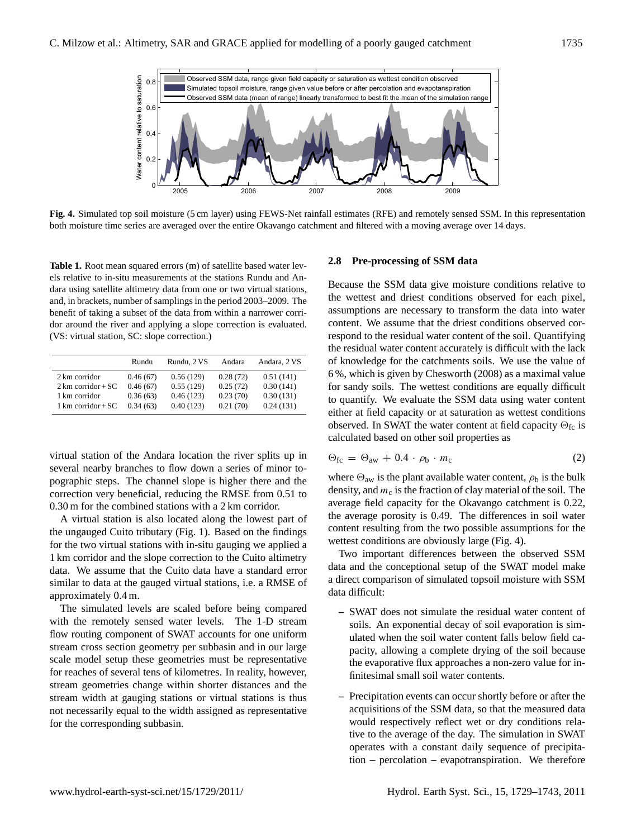

<span id="page-6-1"></span>**Fig. 4.** Simulated top soil moisture (5 cm layer) using FEWS-Net rainfall estimates (RFE) and remotely sensed SSM. In this representation both moisture time series are averaged over the entire Okavango catchment and filtered with a moving average over 14 days.

<span id="page-6-0"></span>**Table 1.** Root mean squared errors (m) of satellite based water levels relative to in-situ measurements at the stations Rundu and Andara using satellite altimetry data from one or two virtual stations, and, in brackets, number of samplings in the period 2003–2009. The benefit of taking a subset of the data from within a narrower corridor around the river and applying a slope correction is evaluated. (VS: virtual station, SC: slope correction.)

|                              | Rundu    | Rundu, 2 VS | Andara   | Andara, 2 VS |
|------------------------------|----------|-------------|----------|--------------|
| 2 km corridor                | 0.46(67) | 0.56(129)   | 0.28(72) | 0.51(141)    |
| $2 \text{ km}$ corridor + SC | 0.46(67) | 0.55(129)   | 0.25(72) | 0.30(141)    |
| 1 km corridor                | 0.36(63) | 0.46(123)   | 0.23(70) | 0.30(131)    |
| $1 \text{ km}$ corridor + SC | 0.34(63) | 0.40(123)   | 0.21(70) | 0.24(131)    |

virtual station of the Andara location the river splits up in several nearby branches to flow down a series of minor topographic steps. The channel slope is higher there and the correction very beneficial, reducing the RMSE from 0.51 to 0.30 m for the combined stations with a 2 km corridor.

A virtual station is also located along the lowest part of the ungauged Cuito tributary (Fig. [1\)](#page-2-0). Based on the findings for the two virtual stations with in-situ gauging we applied a 1 km corridor and the slope correction to the Cuito altimetry data. We assume that the Cuito data have a standard error similar to data at the gauged virtual stations, i.e. a RMSE of approximately 0.4 m.

The simulated levels are scaled before being compared with the remotely sensed water levels. The 1-D stream flow routing component of SWAT accounts for one uniform stream cross section geometry per subbasin and in our large scale model setup these geometries must be representative for reaches of several tens of kilometres. In reality, however, stream geometries change within shorter distances and the stream width at gauging stations or virtual stations is thus not necessarily equal to the width assigned as representative for the corresponding subbasin.

## <span id="page-6-2"></span>**2.8 Pre-processing of SSM data**

Because the SSM data give moisture conditions relative to the wettest and driest conditions observed for each pixel, assumptions are necessary to transform the data into water content. We assume that the driest conditions observed correspond to the residual water content of the soil. Quantifying the residual water content accurately is difficult with the lack of knowledge for the catchments soils. We use the value of 6 %, which is given by [Chesworth](#page-12-14) [\(2008\)](#page-12-14) as a maximal value for sandy soils. The wettest conditions are equally difficult to quantify. We evaluate the SSM data using water content either at field capacity or at saturation as wettest conditions observed. In SWAT the water content at field capacity  $\Theta_{\text{fc}}$  is calculated based on other soil properties as

$$
\Theta_{\text{fc}} = \Theta_{\text{aw}} + 0.4 \cdot \rho_{\text{b}} \cdot m_{\text{c}} \tag{2}
$$

where  $\Theta_{aw}$  is the plant available water content,  $\rho_b$  is the bulk density, and  $m<sub>c</sub>$  is the fraction of clay material of the soil. The average field capacity for the Okavango catchment is 0.22, the average porosity is 0.49. The differences in soil water content resulting from the two possible assumptions for the wettest conditions are obviously large (Fig. [4\)](#page-6-1).

Two important differences between the observed SSM data and the conceptional setup of the SWAT model make a direct comparison of simulated topsoil moisture with SSM data difficult:

- **–** SWAT does not simulate the residual water content of soils. An exponential decay of soil evaporation is simulated when the soil water content falls below field capacity, allowing a complete drying of the soil because the evaporative flux approaches a non-zero value for infinitesimal small soil water contents.
- **–** Precipitation events can occur shortly before or after the acquisitions of the SSM data, so that the measured data would respectively reflect wet or dry conditions relative to the average of the day. The simulation in SWAT operates with a constant daily sequence of precipitation – percolation – evapotranspiration. We therefore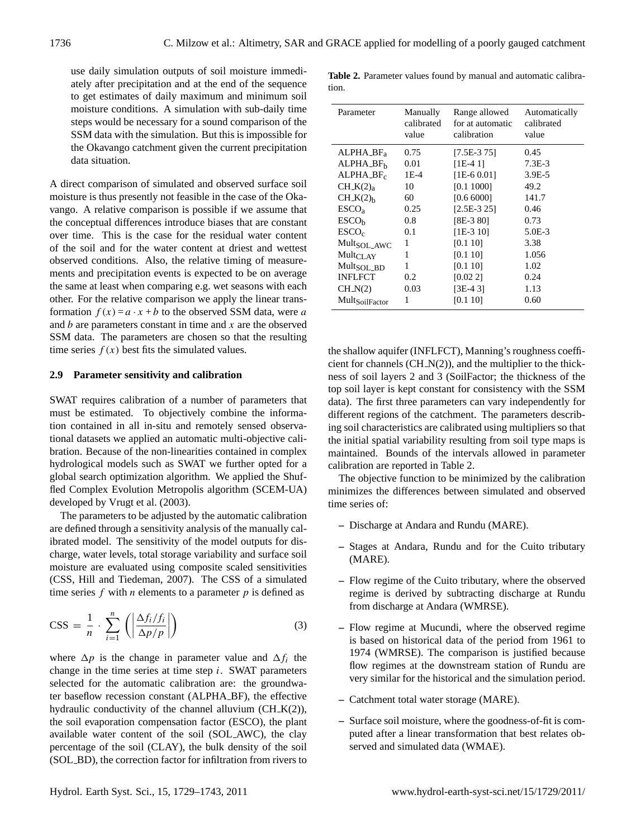use daily simulation outputs of soil moisture immediately after precipitation and at the end of the sequence to get estimates of daily maximum and minimum soil moisture conditions. A simulation with sub-daily time steps would be necessary for a sound comparison of the SSM data with the simulation. But this is impossible for the Okavango catchment given the current precipitation data situation.

A direct comparison of simulated and observed surface soil moisture is thus presently not feasible in the case of the Okavango. A relative comparison is possible if we assume that the conceptual differences introduce biases that are constant over time. This is the case for the residual water content of the soil and for the water content at driest and wettest observed conditions. Also, the relative timing of measurements and precipitation events is expected to be on average the same at least when comparing e.g. wet seasons with each other. For the relative comparison we apply the linear transformation  $f(x) = a \cdot x + b$  to the observed SSM data, were a and  $b$  are parameters constant in time and  $x$  are the observed SSM data. The parameters are chosen so that the resulting time series  $f(x)$  best fits the simulated values.

## **2.9 Parameter sensitivity and calibration**

SWAT requires calibration of a number of parameters that must be estimated. To objectively combine the information contained in all in-situ and remotely sensed observational datasets we applied an automatic multi-objective calibration. Because of the non-linearities contained in complex hydrological models such as SWAT we further opted for a global search optimization algorithm. We applied the Shuffled Complex Evolution Metropolis algorithm (SCEM-UA) developed by [Vrugt et al.](#page-14-15) [\(2003\)](#page-14-15).

The parameters to be adjusted by the automatic calibration are defined through a sensitivity analysis of the manually calibrated model. The sensitivity of the model outputs for discharge, water levels, total storage variability and surface soil moisture are evaluated using composite scaled sensitivities (CSS, [Hill and Tiedeman,](#page-13-26) [2007\)](#page-13-26). The CSS of a simulated time series  $f$  with  $n$  elements to a parameter  $p$  is defined as

$$
CSS = \frac{1}{n} \cdot \sum_{i=1}^{n} \left( \left| \frac{\Delta f_i / f_i}{\Delta p / p} \right| \right)
$$
 (3)

where  $\Delta p$  is the change in parameter value and  $\Delta f_i$  the change in the time series at time step  $i$ . SWAT parameters selected for the automatic calibration are: the groundwater baseflow recession constant (ALPHA BF), the effective hydraulic conductivity of the channel alluvium  $(CH_K(2))$ , the soil evaporation compensation factor (ESCO), the plant available water content of the soil (SOL AWC), the clay percentage of the soil (CLAY), the bulk density of the soil (SOL BD), the correction factor for infiltration from rivers to

<span id="page-7-0"></span>**Table 2.** Parameter values found by manual and automatic calibration.

| Parameter               | Manually<br>calibrated<br>value | Range allowed<br>for at automatic<br>calibration | Automatically<br>calibrated<br>value |
|-------------------------|---------------------------------|--------------------------------------------------|--------------------------------------|
| $ALPHA_BF_a$            | 0.75                            | $[7.5E-375]$                                     | 0.45                                 |
| $ALPHA_BF_h$            | 0.01                            | $[1E-41]$                                        | $7.3E-3$                             |
| $ALPHA_BF_c$            | $1E-4$                          | $[1E-60.01]$                                     | $3.9E - 5$                           |
| $CH_K(2)_a$             | 10                              | [0.1 1000]                                       | 49.2                                 |
| $CH_K(2)$ <sub>h</sub>  | 60                              | [0.6 6000]                                       | 141.7                                |
| ESCO <sub>a</sub>       | 0.25                            | $[2.5E-3 25]$                                    | 0.46                                 |
| ESCO <sub>h</sub>       | 0.8                             | $[8E-3 80]$                                      | 0.73                                 |
| ESCO <sub>c</sub>       | 0.1                             | $[1E-3 10]$                                      | $5.0E-3$                             |
| Mult <sub>SOL_AWC</sub> | 1                               | [0.1 10]                                         | 3.38                                 |
| Mult <sub>CLAY</sub>    | 1                               | [0.1 10]                                         | 1.056                                |
| Mult <sub>SOL_BD</sub>  | 1                               | [0.1 10]                                         | 1.02                                 |
| <b>INFLFCT</b>          | 0.2                             | [0.02 2]                                         | 0.24                                 |
| $CH_N(2)$               | 0.03                            | $[3E-43]$                                        | 1.13                                 |
| MultsoilFactor          | 1                               | [0.1 10]                                         | 0.60                                 |

the shallow aquifer (INFLFCT), Manning's roughness coefficient for channels (CH N(2)), and the multiplier to the thickness of soil layers 2 and 3 (SoilFactor; the thickness of the top soil layer is kept constant for consistency with the SSM data). The first three parameters can vary independently for different regions of the catchment. The parameters describing soil characteristics are calibrated using multipliers so that the initial spatial variability resulting from soil type maps is maintained. Bounds of the intervals allowed in parameter calibration are reported in Table [2.](#page-7-0)

The objective function to be minimized by the calibration minimizes the differences between simulated and observed time series of:

- **–** Discharge at Andara and Rundu (MARE).
- **–** Stages at Andara, Rundu and for the Cuito tributary (MARE).
- **–** Flow regime of the Cuito tributary, where the observed regime is derived by subtracting discharge at Rundu from discharge at Andara (WMRSE).
- **–** Flow regime at Mucundi, where the observed regime is based on historical data of the period from 1961 to 1974 (WMRSE). The comparison is justified because flow regimes at the downstream station of Rundu are very similar for the historical and the simulation period.
- **–** Catchment total water storage (MARE).
- **–** Surface soil moisture, where the goodness-of-fit is computed after a linear transformation that best relates observed and simulated data (WMAE).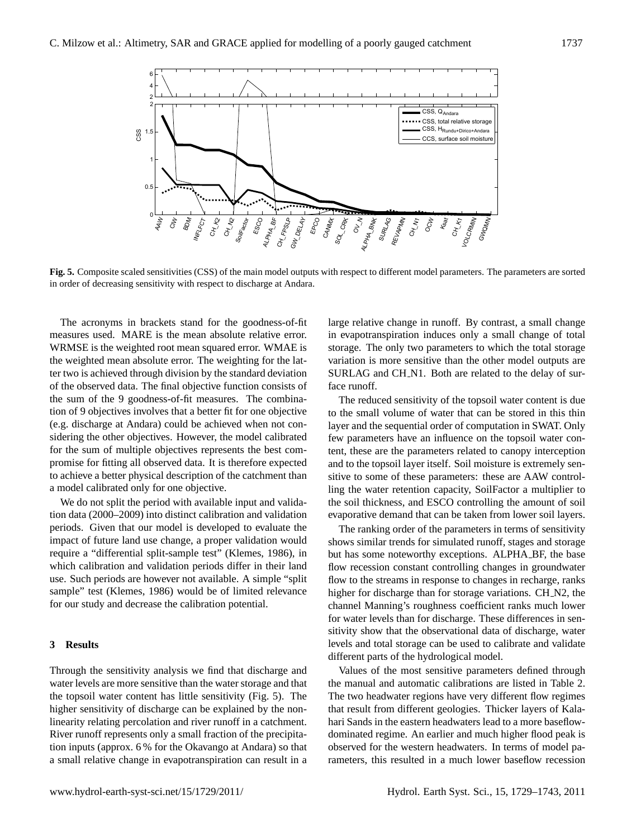

<span id="page-8-0"></span>**Fig. 5.** Composite scaled sensitivities (CSS) of the main model outputs with respect to different model parameters. The parameters are sorted in order of decreasing sensitivity with respect to discharge at Andara.

The acronyms in brackets stand for the goodness-of-fit measures used. MARE is the mean absolute relative error. WRMSE is the weighted root mean squared error. WMAE is the weighted mean absolute error. The weighting for the latter two is achieved through division by the standard deviation of the observed data. The final objective function consists of the sum of the 9 goodness-of-fit measures. The combination of 9 objectives involves that a better fit for one objective (e.g. discharge at Andara) could be achieved when not considering the other objectives. However, the model calibrated for the sum of multiple objectives represents the best compromise for fitting all observed data. It is therefore expected to achieve a better physical description of the catchment than a model calibrated only for one objective.

We do not split the period with available input and validation data (2000–2009) into distinct calibration and validation periods. Given that our model is developed to evaluate the impact of future land use change, a proper validation would require a "differential split-sample test" [\(Klemes,](#page-13-27) [1986\)](#page-13-27), in which calibration and validation periods differ in their land use. Such periods are however not available. A simple "split sample" test [\(Klemes,](#page-13-27) [1986\)](#page-13-27) would be of limited relevance for our study and decrease the calibration potential.

## **3 Results**

Through the sensitivity analysis we find that discharge and water levels are more sensitive than the water storage and that the topsoil water content has little sensitivity (Fig. [5\)](#page-8-0). The higher sensitivity of discharge can be explained by the nonlinearity relating percolation and river runoff in a catchment. River runoff represents only a small fraction of the precipitation inputs (approx. 6 % for the Okavango at Andara) so that a small relative change in evapotranspiration can result in a large relative change in runoff. By contrast, a small change in evapotranspiration induces only a small change of total storage. The only two parameters to which the total storage variation is more sensitive than the other model outputs are SURLAG and CH\_N1. Both are related to the delay of surface runoff.

The reduced sensitivity of the topsoil water content is due to the small volume of water that can be stored in this thin layer and the sequential order of computation in SWAT. Only few parameters have an influence on the topsoil water content, these are the parameters related to canopy interception and to the topsoil layer itself. Soil moisture is extremely sensitive to some of these parameters: these are AAW controlling the water retention capacity, SoilFactor a multiplier to the soil thickness, and ESCO controlling the amount of soil evaporative demand that can be taken from lower soil layers.

The ranking order of the parameters in terms of sensitivity shows similar trends for simulated runoff, stages and storage but has some noteworthy exceptions. ALPHA\_BF, the base flow recession constant controlling changes in groundwater flow to the streams in response to changes in recharge, ranks higher for discharge than for storage variations. CH N2, the channel Manning's roughness coefficient ranks much lower for water levels than for discharge. These differences in sensitivity show that the observational data of discharge, water levels and total storage can be used to calibrate and validate different parts of the hydrological model.

Values of the most sensitive parameters defined through the manual and automatic calibrations are listed in Table [2.](#page-7-0) The two headwater regions have very different flow regimes that result from different geologies. Thicker layers of Kalahari Sands in the eastern headwaters lead to a more baseflowdominated regime. An earlier and much higher flood peak is observed for the western headwaters. In terms of model parameters, this resulted in a much lower baseflow recession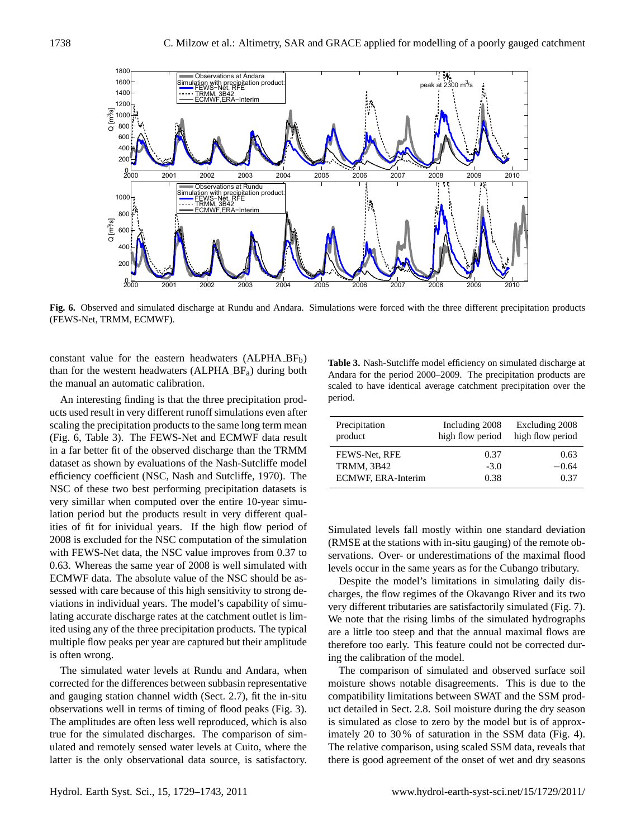

<span id="page-9-0"></span>**Fig. 6.** Observed and simulated discharge at Rundu and Andara. Simulations were forced with the three different precipitation products (FEWS-Net, TRMM, ECMWF).

constant value for the eastern headwaters  $(ALPHA\_BF_b)$ than for the western headwaters ( $ALPHA_BF_a$ ) during both the manual an automatic calibration.

An interesting finding is that the three precipitation products used result in very different runoff simulations even after scaling the precipitation products to the same long term mean (Fig. [6,](#page-9-0) Table [3\)](#page-9-1). The FEWS-Net and ECMWF data result in a far better fit of the observed discharge than the TRMM dataset as shown by evaluations of the Nash-Sutcliffe model efficiency coefficient (NSC, [Nash and Sutcliffe,](#page-13-28) [1970\)](#page-13-28). The NSC of these two best performing precipitation datasets is very simillar when computed over the entire 10-year simulation period but the products result in very different qualities of fit for inividual years. If the high flow period of 2008 is excluded for the NSC computation of the simulation with FEWS-Net data, the NSC value improves from 0.37 to 0.63. Whereas the same year of 2008 is well simulated with ECMWF data. The absolute value of the NSC should be assessed with care because of this high sensitivity to strong deviations in individual years. The model's capability of simulating accurate discharge rates at the catchment outlet is limited using any of the three precipitation products. The typical multiple flow peaks per year are captured but their amplitude is often wrong.

The simulated water levels at Rundu and Andara, when corrected for the differences between subbasin representative and gauging station channel width (Sect. [2.7\)](#page-5-1), fit the in-situ observations well in terms of timing of flood peaks (Fig. [3\)](#page-5-0). The amplitudes are often less well reproduced, which is also true for the simulated discharges. The comparison of simulated and remotely sensed water levels at Cuito, where the latter is the only observational data source, is satisfactory.

<span id="page-9-1"></span>**Table 3.** Nash-Sutcliffe model efficiency on simulated discharge at Andara for the period 2000–2009. The precipitation products are scaled to have identical average catchment precipitation over the period.

| Precipitation<br>product  | Including 2008<br>high flow period | Excluding 2008<br>high flow period |
|---------------------------|------------------------------------|------------------------------------|
| FEWS-Net, RFE             | 0.37                               | 0.63                               |
| <b>TRMM, 3B42</b>         | $-3.0$                             | $-0.64$                            |
| <b>ECMWF, ERA-Interim</b> | 0.38                               | 0.37                               |

Simulated levels fall mostly within one standard deviation (RMSE at the stations with in-situ gauging) of the remote observations. Over- or underestimations of the maximal flood levels occur in the same years as for the Cubango tributary.

Despite the model's limitations in simulating daily discharges, the flow regimes of the Okavango River and its two very different tributaries are satisfactorily simulated (Fig. [7\)](#page-10-0). We note that the rising limbs of the simulated hydrographs are a little too steep and that the annual maximal flows are therefore too early. This feature could not be corrected during the calibration of the model.

The comparison of simulated and observed surface soil moisture shows notable disagreements. This is due to the compatibility limitations between SWAT and the SSM product detailed in Sect. [2.8.](#page-6-2) Soil moisture during the dry season is simulated as close to zero by the model but is of approximately 20 to 30 % of saturation in the SSM data (Fig. [4\)](#page-6-1). The relative comparison, using scaled SSM data, reveals that there is good agreement of the onset of wet and dry seasons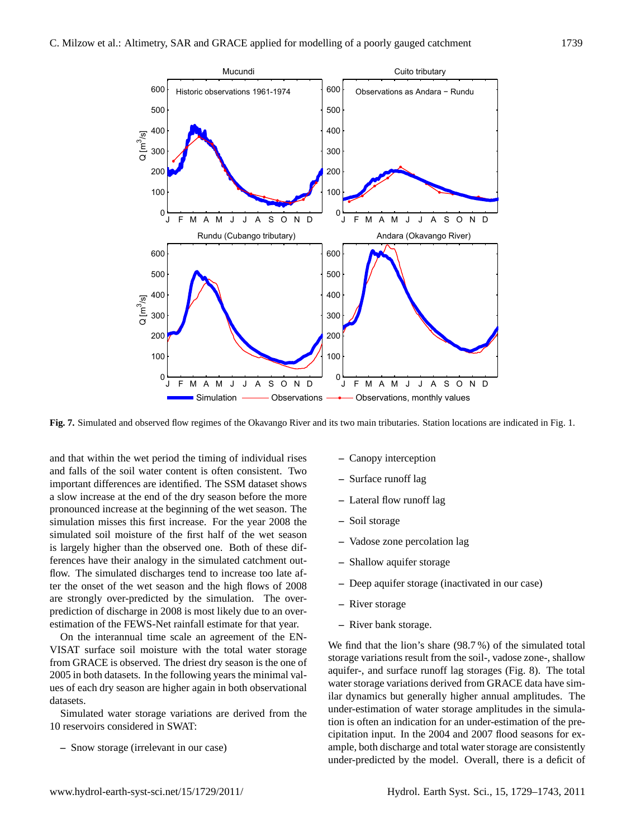

<span id="page-10-0"></span>**Fig. 7.** Simulated and observed flow regimes of the Okavango River and its two main tributaries. Station locations are indicated in Fig. [1.](#page-2-0)

and that within the wet period the timing of individual rises and falls of the soil water content is often consistent. Two important differences are identified. The SSM dataset shows a slow increase at the end of the dry season before the more pronounced increase at the beginning of the wet season. The simulation misses this first increase. For the year 2008 the simulated soil moisture of the first half of the wet season is largely higher than the observed one. Both of these differences have their analogy in the simulated catchment outflow. The simulated discharges tend to increase too late after the onset of the wet season and the high flows of 2008 are strongly over-predicted by the simulation. The overprediction of discharge in 2008 is most likely due to an overestimation of the FEWS-Net rainfall estimate for that year.

On the interannual time scale an agreement of the EN-VISAT surface soil moisture with the total water storage from GRACE is observed. The driest dry season is the one of 2005 in both datasets. In the following years the minimal values of each dry season are higher again in both observational datasets.

Simulated water storage variations are derived from the 10 reservoirs considered in SWAT:

**–** Snow storage (irrelevant in our case)

- **–** Canopy interception
- **–** Surface runoff lag
- **–** Lateral flow runoff lag
- **–** Soil storage
- **–** Vadose zone percolation lag
- **–** Shallow aquifer storage
- **–** Deep aquifer storage (inactivated in our case)
- **–** River storage
- **–** River bank storage.

We find that the lion's share (98.7 %) of the simulated total storage variations result from the soil-, vadose zone-, shallow aquifer-, and surface runoff lag storages (Fig. [8\)](#page-11-0). The total water storage variations derived from GRACE data have similar dynamics but generally higher annual amplitudes. The under-estimation of water storage amplitudes in the simulation is often an indication for an under-estimation of the precipitation input. In the 2004 and 2007 flood seasons for example, both discharge and total water storage are consistently under-predicted by the model. Overall, there is a deficit of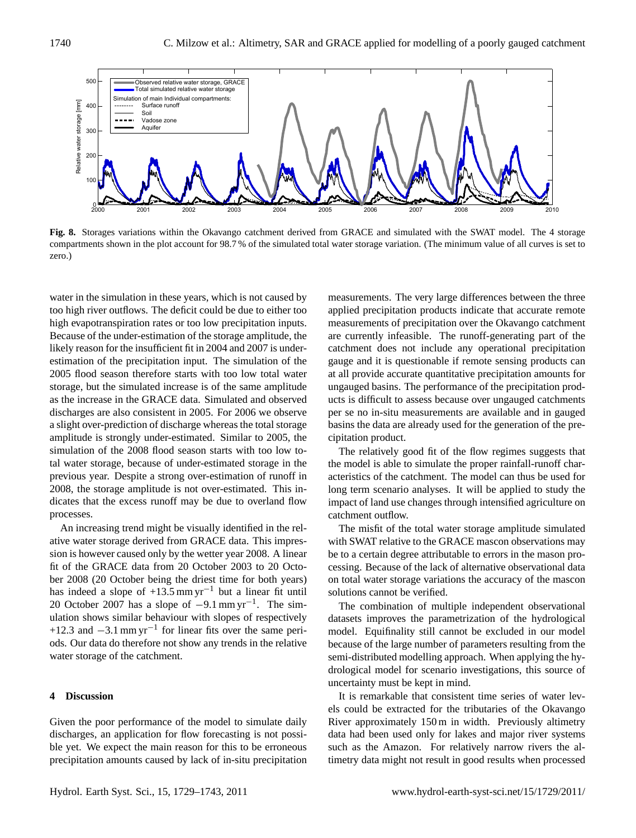

<span id="page-11-0"></span>**Fig. 8.** Storages variations within the Okavango catchment derived from GRACE and simulated with the SWAT model. The 4 storage compartments shown in the plot account for 98.7 % of the simulated total water storage variation. (The minimum value of all curves is set to zero.)

water in the simulation in these years, which is not caused by too high river outflows. The deficit could be due to either too high evapotranspiration rates or too low precipitation inputs. Because of the under-estimation of the storage amplitude, the likely reason for the insufficient fit in 2004 and 2007 is underestimation of the precipitation input. The simulation of the 2005 flood season therefore starts with too low total water storage, but the simulated increase is of the same amplitude as the increase in the GRACE data. Simulated and observed discharges are also consistent in 2005. For 2006 we observe a slight over-prediction of discharge whereas the total storage amplitude is strongly under-estimated. Similar to 2005, the simulation of the 2008 flood season starts with too low total water storage, because of under-estimated storage in the previous year. Despite a strong over-estimation of runoff in 2008, the storage amplitude is not over-estimated. This indicates that the excess runoff may be due to overland flow processes.

An increasing trend might be visually identified in the relative water storage derived from GRACE data. This impression is however caused only by the wetter year 2008. A linear fit of the GRACE data from 20 October 2003 to 20 October 2008 (20 October being the driest time for both years) has indeed a slope of  $+13.5$  mm yr<sup>-1</sup> but a linear fit until 20 October 2007 has a slope of  $-9.1$  mm yr<sup>-1</sup>. The simulation shows similar behaviour with slopes of respectively +12.3 and  $-3.1$  mm yr<sup>-1</sup> for linear fits over the same periods. Our data do therefore not show any trends in the relative water storage of the catchment.

## **4 Discussion**

Given the poor performance of the model to simulate daily discharges, an application for flow forecasting is not possible yet. We expect the main reason for this to be erroneous precipitation amounts caused by lack of in-situ precipitation measurements. The very large differences between the three applied precipitation products indicate that accurate remote measurements of precipitation over the Okavango catchment are currently infeasible. The runoff-generating part of the catchment does not include any operational precipitation gauge and it is questionable if remote sensing products can at all provide accurate quantitative precipitation amounts for ungauged basins. The performance of the precipitation products is difficult to assess because over ungauged catchments per se no in-situ measurements are available and in gauged basins the data are already used for the generation of the precipitation product.

The relatively good fit of the flow regimes suggests that the model is able to simulate the proper rainfall-runoff characteristics of the catchment. The model can thus be used for long term scenario analyses. It will be applied to study the impact of land use changes through intensified agriculture on catchment outflow.

The misfit of the total water storage amplitude simulated with SWAT relative to the GRACE mascon observations may be to a certain degree attributable to errors in the mason processing. Because of the lack of alternative observational data on total water storage variations the accuracy of the mascon solutions cannot be verified.

The combination of multiple independent observational datasets improves the parametrization of the hydrological model. Equifinality still cannot be excluded in our model because of the large number of parameters resulting from the semi-distributed modelling approach. When applying the hydrological model for scenario investigations, this source of uncertainty must be kept in mind.

It is remarkable that consistent time series of water levels could be extracted for the tributaries of the Okavango River approximately 150 m in width. Previously altimetry data had been used only for lakes and major river systems such as the Amazon. For relatively narrow rivers the altimetry data might not result in good results when processed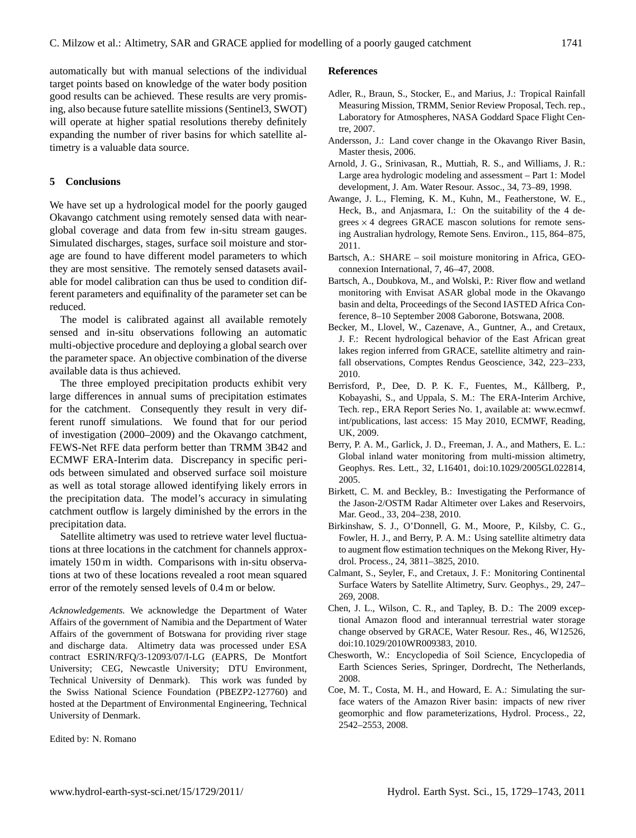automatically but with manual selections of the individual target points based on knowledge of the water body position good results can be achieved. These results are very promising, also because future satellite missions (Sentinel3, SWOT) will operate at higher spatial resolutions thereby definitely expanding the number of river basins for which satellite altimetry is a valuable data source.

## **5 Conclusions**

We have set up a hydrological model for the poorly gauged Okavango catchment using remotely sensed data with nearglobal coverage and data from few in-situ stream gauges. Simulated discharges, stages, surface soil moisture and storage are found to have different model parameters to which they are most sensitive. The remotely sensed datasets available for model calibration can thus be used to condition different parameters and equifinality of the parameter set can be reduced.

The model is calibrated against all available remotely sensed and in-situ observations following an automatic multi-objective procedure and deploying a global search over the parameter space. An objective combination of the diverse available data is thus achieved.

The three employed precipitation products exhibit very large differences in annual sums of precipitation estimates for the catchment. Consequently they result in very different runoff simulations. We found that for our period of investigation (2000–2009) and the Okavango catchment, FEWS-Net RFE data perform better than TRMM 3B42 and ECMWF ERA-Interim data. Discrepancy in specific periods between simulated and observed surface soil moisture as well as total storage allowed identifying likely errors in the precipitation data. The model's accuracy in simulating catchment outflow is largely diminished by the errors in the precipitation data.

Satellite altimetry was used to retrieve water level fluctuations at three locations in the catchment for channels approximately 150 m in width. Comparisons with in-situ observations at two of these locations revealed a root mean squared error of the remotely sensed levels of 0.4 m or below.

*Acknowledgements.* We acknowledge the Department of Water Affairs of the government of Namibia and the Department of Water Affairs of the government of Botswana for providing river stage and discharge data. Altimetry data was processed under ESA contract ESRIN/RFQ/3-12093/07/I-LG (EAPRS, De Montfort University; CEG, Newcastle University; DTU Environment, Technical University of Denmark). This work was funded by the Swiss National Science Foundation (PBEZP2-127760) and hosted at the Department of Environmental Engineering, Technical University of Denmark.

Edited by: N. Romano

## **References**

- <span id="page-12-9"></span>Adler, R., Braun, S., Stocker, E., and Marius, J.: Tropical Rainfall Measuring Mission, TRMM, Senior Review Proposal, Tech. rep., Laboratory for Atmospheres, NASA Goddard Space Flight Centre, 2007.
- <span id="page-12-8"></span>Andersson, J.: Land cover change in the Okavango River Basin, Master thesis, 2006.
- <span id="page-12-13"></span>Arnold, J. G., Srinivasan, R., Muttiah, R. S., and Williams, J. R.: Large area hydrologic modeling and assessment – Part 1: Model development, J. Am. Water Resour. Assoc., 34, 73–89, 1998.
- <span id="page-12-7"></span>Awange, J. L., Fleming, K. M., Kuhn, M., Featherstone, W. E., Heck, B., and Anjasmara, I.: On the suitability of the 4 degrees  $\times$  4 degrees GRACE mascon solutions for remote sensing Australian hydrology, Remote Sens. Environ., 115, 864–875, 2011.
- <span id="page-12-11"></span>Bartsch, A.: SHARE – soil moisture monitoring in Africa, GEOconnexion International, 7, 46–47, 2008.
- <span id="page-12-0"></span>Bartsch, A., Doubkova, M., and Wolski, P.: River flow and wetland monitoring with Envisat ASAR global mode in the Okavango basin and delta, Proceedings of the Second IASTED Africa Conference, 8–10 September 2008 Gaborone, Botswana, 2008.
- <span id="page-12-3"></span>Becker, M., Llovel, W., Cazenave, A., Guntner, A., and Cretaux, J. F.: Recent hydrological behavior of the East African great lakes region inferred from GRACE, satellite altimetry and rainfall observations, Comptes Rendus Geoscience, 342, 223–233, 2010.
- <span id="page-12-10"></span>Berrisford, P., Dee, D. P. K. F., Fuentes, M., Kållberg, P., Kobayashi, S., and Uppala, S. M.: The ERA-Interim Archive, Tech. rep., ERA Report Series No. 1, available at: [www.ecmwf.](www.ecmwf.int/publications) [int/publications,](www.ecmwf.int/publications) last access: 15 May 2010, ECMWF, Reading, UK, 2009.
- <span id="page-12-12"></span>Berry, P. A. M., Garlick, J. D., Freeman, J. A., and Mathers, E. L.: Global inland water monitoring from multi-mission altimetry, Geophys. Res. Lett., 32, L16401, [doi:10.1029/2005GL022814,](http://dx.doi.org/10.1029/2005GL022814) 2005.
- <span id="page-12-2"></span>Birkett, C. M. and Beckley, B.: Investigating the Performance of the Jason-2/OSTM Radar Altimeter over Lakes and Reservoirs, Mar. Geod., 33, 204–238, 2010.
- <span id="page-12-5"></span>Birkinshaw, S. J., O'Donnell, G. M., Moore, P., Kilsby, C. G., Fowler, H. J., and Berry, P. A. M.: Using satellite altimetry data to augment flow estimation techniques on the Mekong River, Hydrol. Process., 24, 3811–3825, 2010.
- <span id="page-12-1"></span>Calmant, S., Seyler, F., and Cretaux, J. F.: Monitoring Continental Surface Waters by Satellite Altimetry, Surv. Geophys., 29, 247– 269, 2008.
- <span id="page-12-6"></span>Chen, J. L., Wilson, C. R., and Tapley, B. D.: The 2009 exceptional Amazon flood and interannual terrestrial water storage change observed by GRACE, Water Resour. Res., 46, W12526, [doi:10.1029/2010WR009383,](http://dx.doi.org/10.1029/2010WR009383) 2010.
- <span id="page-12-14"></span>Chesworth, W.: Encyclopedia of Soil Science, Encyclopedia of Earth Sciences Series, Springer, Dordrecht, The Netherlands, 2008.
- <span id="page-12-4"></span>Coe, M. T., Costa, M. H., and Howard, E. A.: Simulating the surface waters of the Amazon River basin: impacts of new river geomorphic and flow parameterizations, Hydrol. Process., 22, 2542–2553, 2008.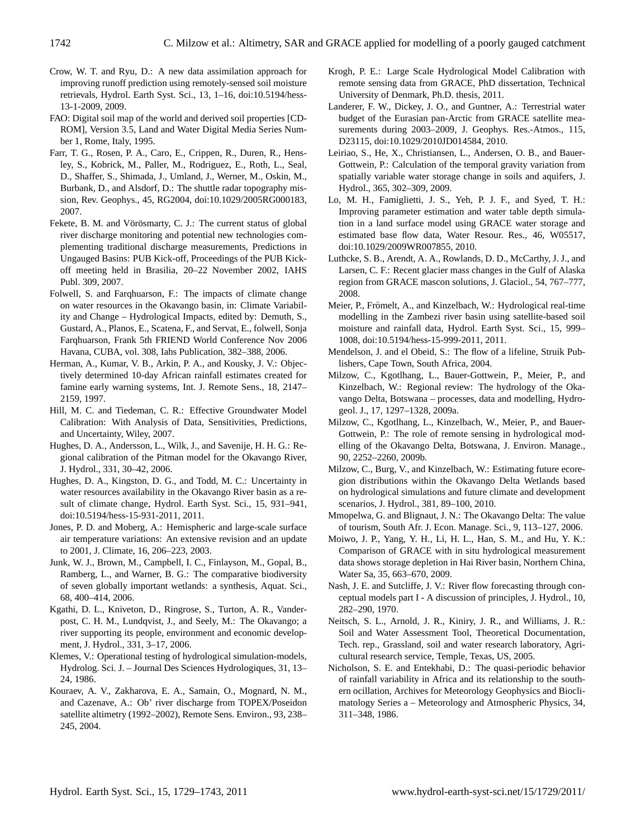- <span id="page-13-3"></span>Crow, W. T. and Ryu, D.: A new data assimilation approach for improving runoff prediction using remotely-sensed soil moisture retrievals, Hydrol. Earth Syst. Sci., 13, 1–16, [doi:10.5194/hess-](http://dx.doi.org/10.5194/hess-13-1-2009)[13-1-2009,](http://dx.doi.org/10.5194/hess-13-1-2009) 2009.
- <span id="page-13-25"></span>FAO: Digital soil map of the world and derived soil properties [CD-ROM], Version 3.5, Land and Water Digital Media Series Number 1, Rome, Italy, 1995.
- <span id="page-13-24"></span>Farr, T. G., Rosen, P. A., Caro, E., Crippen, R., Duren, R., Hensley, S., Kobrick, M., Paller, M., Rodriguez, E., Roth, L., Seal, D., Shaffer, S., Shimada, J., Umland, J., Werner, M., Oskin, M., Burbank, D., and Alsdorf, D.: The shuttle radar topography mission, Rev. Geophys., 45, RG2004, [doi:10.1029/2005RG000183,](http://dx.doi.org/10.1029/2005RG000183) 2007.
- <span id="page-13-0"></span>Fekete, B. M. and Vörösmarty, C. J.: The current status of global river discharge monitoring and potential new technologies complementing traditional discharge measurements, Predictions in Ungauged Basins: PUB Kick-off, Proceedings of the PUB Kickoff meeting held in Brasilia, 20–22 November 2002, IAHS Publ. 309, 2007.
- <span id="page-13-18"></span>Folwell, S. and Farqhuarson, F.: The impacts of climate change on water resources in the Okavango basin, in: Climate Variability and Change – Hydrological Impacts, edited by: Demuth, S., Gustard, A., Planos, E., Scatena, F., and Servat, E., folwell, Sonja Farqhuarson, Frank 5th FRIEND World Conference Nov 2006 Havana, CUBA, vol. 308, Iahs Publication, 382–388, 2006.
- <span id="page-13-20"></span>Herman, A., Kumar, V. B., Arkin, P. A., and Kousky, J. V.: Objectively determined 10-day African rainfall estimates created for famine early warning systems, Int. J. Remote Sens., 18, 2147– 2159, 1997.
- <span id="page-13-26"></span>Hill, M. C. and Tiedeman, C. R.: Effective Groundwater Model Calibration: With Analysis of Data, Sensitivities, Predictions, and Uncertainty, Wiley, 2007.
- <span id="page-13-14"></span>Hughes, D. A., Andersson, L., Wilk, J., and Savenije, H. H. G.: Regional calibration of the Pitman model for the Okavango River, J. Hydrol., 331, 30–42, 2006.
- <span id="page-13-19"></span>Hughes, D. A., Kingston, D. G., and Todd, M. C.: Uncertainty in water resources availability in the Okavango River basin as a result of climate change, Hydrol. Earth Syst. Sci., 15, 931–941, [doi:10.5194/hess-15-931-2011,](http://dx.doi.org/10.5194/hess-15-931-2011) 2011.
- <span id="page-13-1"></span>Jones, P. D. and Moberg, A.: Hemispheric and large-scale surface air temperature variations: An extensive revision and an update to 2001, J. Climate, 16, 206–223, 2003.
- <span id="page-13-11"></span>Junk, W. J., Brown, M., Campbell, I. C., Finlayson, M., Gopal, B., Ramberg, L., and Warner, B. G.: The comparative biodiversity of seven globally important wetlands: a synthesis, Aquat. Sci., 68, 400–414, 2006.
- <span id="page-13-16"></span>Kgathi, D. L., Kniveton, D., Ringrose, S., Turton, A. R., Vanderpost, C. H. M., Lundqvist, J., and Seely, M.: The Okavango; a river supporting its people, environment and economic development, J. Hydrol., 331, 3–17, 2006.
- <span id="page-13-27"></span>Klemes, V.: Operational testing of hydrological simulation-models, Hydrolog. Sci. J. – Journal Des Sciences Hydrologiques, 31, 13– 24, 1986.
- <span id="page-13-4"></span>Kouraev, A. V., Zakharova, E. A., Samain, O., Mognard, N. M., and Cazenave, A.: Ob' river discharge from TOPEX/Poseidon satellite altimetry (1992–2002), Remote Sens. Environ., 93, 238– 245, 2004.
- <span id="page-13-22"></span>Krogh, P. E.: Large Scale Hydrological Model Calibration with remote sensing data from GRACE, PhD dissertation, Technical University of Denmark, Ph.D. thesis, 2011.
- <span id="page-13-6"></span>Landerer, F. W., Dickey, J. O., and Guntner, A.: Terrestrial water budget of the Eurasian pan-Arctic from GRACE satellite measurements during 2003–2009, J. Geophys. Res.-Atmos., 115, D23115, [doi:10.1029/2010JD014584,](http://dx.doi.org/10.1029/2010JD014584) 2010.
- <span id="page-13-5"></span>Leiriao, S., He, X., Christiansen, L., Andersen, O. B., and Bauer-Gottwein, P.: Calculation of the temporal gravity variation from spatially variable water storage change in soils and aquifers, J. Hydrol., 365, 302–309, 2009.
- <span id="page-13-7"></span>Lo, M. H., Famiglietti, J. S., Yeh, P. J. F., and Syed, T. H.: Improving parameter estimation and water table depth simulation in a land surface model using GRACE water storage and estimated base flow data, Water Resour. Res., 46, W05517, [doi:10.1029/2009WR007855,](http://dx.doi.org/10.1029/2009WR007855) 2010.
- <span id="page-13-21"></span>Luthcke, S. B., Arendt, A. A., Rowlands, D. D., McCarthy, J. J., and Larsen, C. F.: Recent glacier mass changes in the Gulf of Alaska region from GRACE mascon solutions, J. Glaciol., 54, 767–777, 2008.
- <span id="page-13-2"></span>Meier, P., Frömelt, A., and Kinzelbach, W.: Hydrological real-time modelling in the Zambezi river basin using satellite-based soil moisture and rainfall data, Hydrol. Earth Syst. Sci., 15, 999– 1008, [doi:10.5194/hess-15-999-2011,](http://dx.doi.org/10.5194/hess-15-999-2011) 2011.
- <span id="page-13-17"></span>Mendelson, J. and el Obeid, S.: The flow of a lifeline, Struik Publishers, Cape Town, South Africa, 2004.
- <span id="page-13-15"></span>Milzow, C., Kgotlhang, L., Bauer-Gottwein, P., Meier, P., and Kinzelbach, W.: Regional review: The hydrology of the Okavango Delta, Botswana – processes, data and modelling, Hydrogeol. J., 17, 1297–1328, 2009a.
- <span id="page-13-9"></span>Milzow, C., Kgotlhang, L., Kinzelbach, W., Meier, P., and Bauer-Gottwein, P.: The role of remote sensing in hydrological modelling of the Okavango Delta, Botswana, J. Environ. Manage., 90, 2252–2260, 2009b.
- <span id="page-13-10"></span>Milzow, C., Burg, V., and Kinzelbach, W.: Estimating future ecoregion distributions within the Okavango Delta Wetlands based on hydrological simulations and future climate and development scenarios, J. Hydrol., 381, 89–100, 2010.
- <span id="page-13-12"></span>Mmopelwa, G. and Blignaut, J. N.: The Okavango Delta: The value of tourism, South Afr. J. Econ. Manage. Sci., 9, 113–127, 2006.
- <span id="page-13-8"></span>Moiwo, J. P., Yang, Y. H., Li, H. L., Han, S. M., and Hu, Y. K.: Comparison of GRACE with in situ hydrological measurement data shows storage depletion in Hai River basin, Northern China, Water Sa, 35, 663–670, 2009.
- <span id="page-13-28"></span>Nash, J. E. and Sutcliffe, J. V.: River flow forecasting through conceptual models part I - A discussion of principles, J. Hydrol., 10, 282–290, 1970.
- <span id="page-13-23"></span>Neitsch, S. L., Arnold, J. R., Kiniry, J. R., and Williams, J. R.: Soil and Water Assessment Tool, Theoretical Documentation, Tech. rep., Grassland, soil and water research laboratory, Agricultural research service, Temple, Texas, US, 2005.
- <span id="page-13-13"></span>Nicholson, S. E. and Entekhabi, D.: The quasi-periodic behavior of rainfall variability in Africa and its relationship to the southern ocillation, Archives for Meteorology Geophysics and Bioclimatology Series a – Meteorology and Atmospheric Physics, 34, 311–348, 1986.